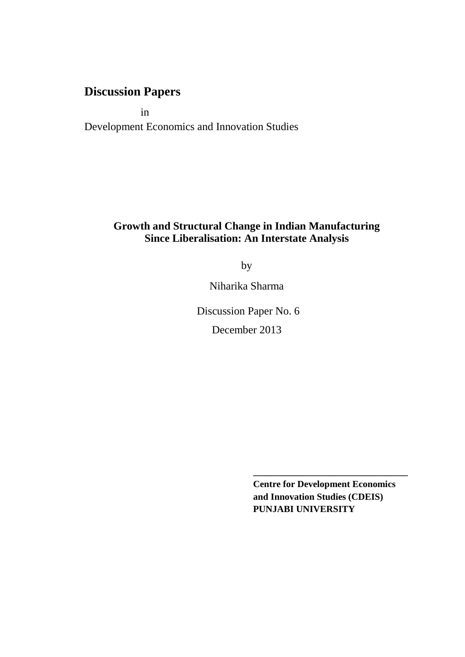# **Discussion Papers**

in Development Economics and Innovation Studies

# **Growth and Structural Change in Indian Manufacturing Since Liberalisation: An Interstate Analysis**

by

Niharika Sharma

 Discussion Paper No. 6 December 2013

 **\_\_\_\_\_\_\_\_\_\_\_\_\_\_\_\_\_\_\_\_\_\_\_\_\_\_\_\_\_\_\_\_\_** 

 **Centre for Development Economics and Innovation Studies (CDEIS) PUNJABI UNIVERSITY**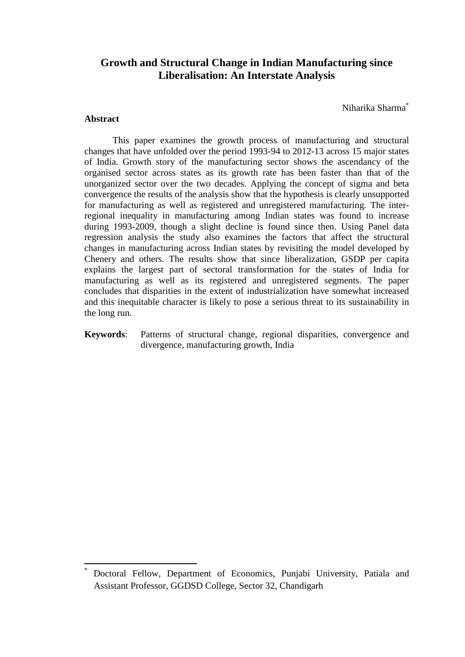# **Growth and Structural Change in Indian Manufacturing since Liberalisation: An Interstate Analysis**

Niharika Sharma\*

## **Abstract**

l

This paper examines the growth process of manufacturing and structural changes that have unfolded over the period 1993-94 to 2012-13 across 15 major states of India. Growth story of the manufacturing sector shows the ascendancy of the organised sector across states as its growth rate has been faster than that of the unorganized sector over the two decades. Applying the concept of sigma and beta convergence the results of the analysis show that the hypothesis is clearly unsupported for manufacturing as well as registered and unregistered manufacturing. The interregional inequality in manufacturing among Indian states was found to increase during 1993-2009, though a slight decline is found since then. Using Panel data regression analysis the study also examines the factors that affect the structural changes in manufacturing across Indian states by revisiting the model developed by Chenery and others. The results show that since liberalization, GSDP per capita explains the largest part of sectoral transformation for the states of India for manufacturing as well as its registered and unregistered segments. The paper concludes that disparities in the extent of industrialization have somewhat increased and this inequitable character is likely to pose a serious threat to its sustainability in the long run.

# **Keywords**: Patterns of structural change, regional disparities, convergence and divergence, manufacturing growth, India

<sup>\*</sup> Doctoral Fellow, Department of Economics, Punjabi University, Patiala and Assistant Professor, GGDSD College, Sector 32, Chandigarh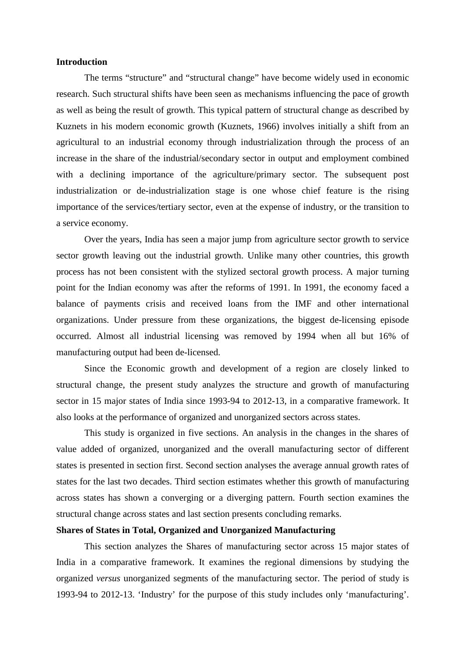#### **Introduction**

The terms "structure" and "structural change" have become widely used in economic research. Such structural shifts have been seen as mechanisms influencing the pace of growth as well as being the result of growth. This typical pattern of structural change as described by Kuznets in his modern economic growth (Kuznets, 1966) involves initially a shift from an agricultural to an industrial economy through industrialization through the process of an increase in the share of the industrial/secondary sector in output and employment combined with a declining importance of the agriculture/primary sector. The subsequent post industrialization or de-industrialization stage is one whose chief feature is the rising importance of the services/tertiary sector, even at the expense of industry, or the transition to a service economy.

Over the years, India has seen a major jump from agriculture sector growth to service sector growth leaving out the industrial growth. Unlike many other countries, this growth process has not been consistent with the stylized sectoral growth process. A major turning point for the Indian economy was after the reforms of 1991. In 1991, the economy faced a balance of payments crisis and received loans from the IMF and other international organizations. Under pressure from these organizations, the biggest de-licensing episode occurred. Almost all industrial licensing was removed by 1994 when all but 16% of manufacturing output had been de-licensed.

Since the Economic growth and development of a region are closely linked to structural change, the present study analyzes the structure and growth of manufacturing sector in 15 major states of India since 1993-94 to 2012-13, in a comparative framework. It also looks at the performance of organized and unorganized sectors across states.

This study is organized in five sections. An analysis in the changes in the shares of value added of organized, unorganized and the overall manufacturing sector of different states is presented in section first. Second section analyses the average annual growth rates of states for the last two decades. Third section estimates whether this growth of manufacturing across states has shown a converging or a diverging pattern. Fourth section examines the structural change across states and last section presents concluding remarks.

### **Shares of States in Total, Organized and Unorganized Manufacturing**

This section analyzes the Shares of manufacturing sector across 15 major states of India in a comparative framework. It examines the regional dimensions by studying the organized *versus* unorganized segments of the manufacturing sector. The period of study is 1993-94 to 2012-13. 'Industry' for the purpose of this study includes only 'manufacturing'.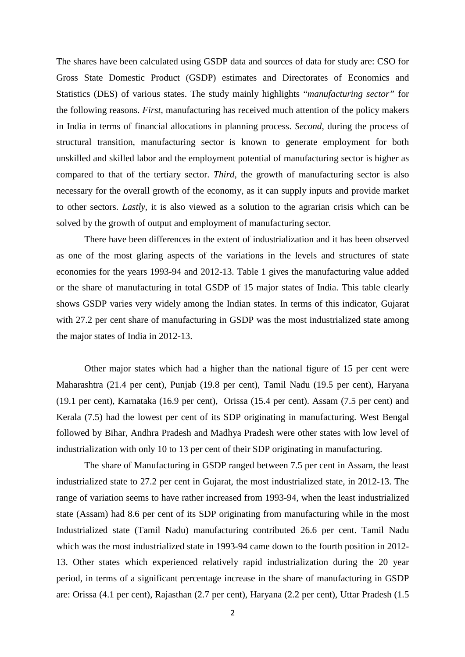The shares have been calculated using GSDP data and sources of data for study are: CSO for Gross State Domestic Product (GSDP) estimates and Directorates of Economics and Statistics (DES) of various states. The study mainly highlights "*manufacturing sector"* for the following reasons. *First*, manufacturing has received much attention of the policy makers in India in terms of financial allocations in planning process. *Second*, during the process of structural transition, manufacturing sector is known to generate employment for both unskilled and skilled labor and the employment potential of manufacturing sector is higher as compared to that of the tertiary sector. *Third*, the growth of manufacturing sector is also necessary for the overall growth of the economy, as it can supply inputs and provide market to other sectors. *Lastly*, it is also viewed as a solution to the agrarian crisis which can be solved by the growth of output and employment of manufacturing sector.

There have been differences in the extent of industrialization and it has been observed as one of the most glaring aspects of the variations in the levels and structures of state economies for the years 1993-94 and 2012-13. Table 1 gives the manufacturing value added or the share of manufacturing in total GSDP of 15 major states of India. This table clearly shows GSDP varies very widely among the Indian states. In terms of this indicator, Gujarat with 27.2 per cent share of manufacturing in GSDP was the most industrialized state among the major states of India in 2012-13.

Other major states which had a higher than the national figure of 15 per cent were Maharashtra (21.4 per cent), Punjab (19.8 per cent), Tamil Nadu (19.5 per cent), Haryana (19.1 per cent), Karnataka (16.9 per cent), Orissa (15.4 per cent). Assam (7.5 per cent) and Kerala (7.5) had the lowest per cent of its SDP originating in manufacturing. West Bengal followed by Bihar, Andhra Pradesh and Madhya Pradesh were other states with low level of industrialization with only 10 to 13 per cent of their SDP originating in manufacturing.

The share of Manufacturing in GSDP ranged between 7.5 per cent in Assam, the least industrialized state to 27.2 per cent in Gujarat, the most industrialized state, in 2012-13. The range of variation seems to have rather increased from 1993-94, when the least industrialized state (Assam) had 8.6 per cent of its SDP originating from manufacturing while in the most Industrialized state (Tamil Nadu) manufacturing contributed 26.6 per cent. Tamil Nadu which was the most industrialized state in 1993-94 came down to the fourth position in 2012- 13. Other states which experienced relatively rapid industrialization during the 20 year period, in terms of a significant percentage increase in the share of manufacturing in GSDP are: Orissa (4.1 per cent), Rajasthan (2.7 per cent), Haryana (2.2 per cent), Uttar Pradesh (1.5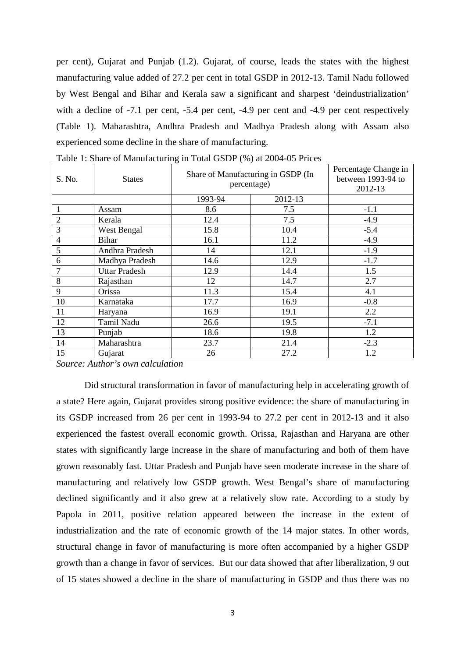per cent), Gujarat and Punjab (1.2). Gujarat, of course, leads the states with the highest manufacturing value added of 27.2 per cent in total GSDP in 2012-13. Tamil Nadu followed by West Bengal and Bihar and Kerala saw a significant and sharpest 'deindustrialization' with a decline of  $-7.1$  per cent,  $-5.4$  per cent,  $-4.9$  per cent and  $-4.9$  per cent respectively (Table 1). Maharashtra, Andhra Pradesh and Madhya Pradesh along with Assam also experienced some decline in the share of manufacturing.

| S. No.                   | <b>States</b>        | Share of Manufacturing in GSDP (In<br>percentage) | Percentage Change in<br>between 1993-94 to<br>2012-13 |        |
|--------------------------|----------------------|---------------------------------------------------|-------------------------------------------------------|--------|
|                          |                      | 1993-94                                           | 2012-13                                               |        |
| 1                        | Assam                | 8.6                                               | 7.5                                                   | $-1.1$ |
| $\overline{c}$           | Kerala               | 12.4                                              | 7.5                                                   | $-4.9$ |
| 3                        | West Bengal          | 15.8                                              | 10.4                                                  | $-5.4$ |
| $\overline{\mathcal{A}}$ | <b>Bihar</b>         | 16.1                                              | 11.2                                                  | $-4.9$ |
| 5                        | Andhra Pradesh       | 14                                                | 12.1                                                  | $-1.9$ |
| 6                        | Madhya Pradesh       | 14.6                                              | 12.9                                                  | $-1.7$ |
|                          | <b>Uttar Pradesh</b> | 12.9                                              | 14.4                                                  | 1.5    |
| 8                        | Rajasthan            | 12                                                | 14.7                                                  | 2.7    |
| 9                        | Orissa               | 11.3                                              | 15.4                                                  | 4.1    |
| 10                       | Karnataka            | 17.7                                              | 16.9                                                  | $-0.8$ |
| 11                       | Haryana              | 16.9                                              | 19.1                                                  | 2.2    |
| 12                       | Tamil Nadu           | 26.6                                              | 19.5                                                  | $-7.1$ |
| 13                       | Punjab               | 18.6                                              | 19.8                                                  | 1.2    |
| 14                       | Maharashtra          | 23.7                                              | 21.4                                                  | $-2.3$ |
| 15                       | Gujarat              | 26                                                | 27.2                                                  | 1.2    |

Table 1: Share of Manufacturing in Total GSDP (%) at 2004-05 Prices

*Source: Author's own calculation* 

Did structural transformation in favor of manufacturing help in accelerating growth of a state? Here again, Gujarat provides strong positive evidence: the share of manufacturing in its GSDP increased from 26 per cent in 1993-94 to 27.2 per cent in 2012-13 and it also experienced the fastest overall economic growth. Orissa, Rajasthan and Haryana are other states with significantly large increase in the share of manufacturing and both of them have grown reasonably fast. Uttar Pradesh and Punjab have seen moderate increase in the share of manufacturing and relatively low GSDP growth. West Bengal's share of manufacturing declined significantly and it also grew at a relatively slow rate. According to a study by Papola in 2011, positive relation appeared between the increase in the extent of industrialization and the rate of economic growth of the 14 major states. In other words, structural change in favor of manufacturing is more often accompanied by a higher GSDP growth than a change in favor of services. But our data showed that after liberalization, 9 out of 15 states showed a decline in the share of manufacturing in GSDP and thus there was no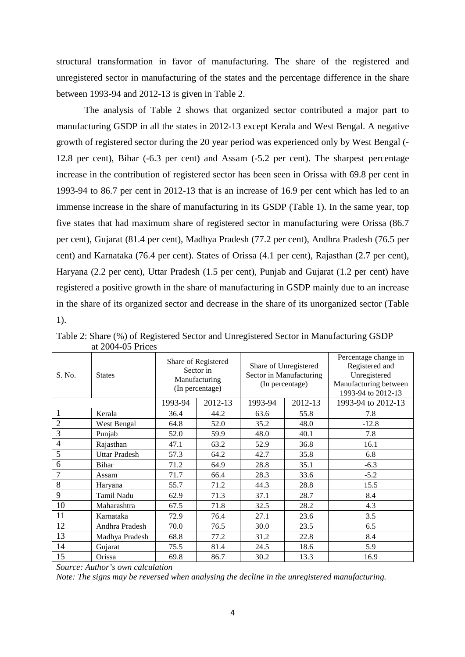structural transformation in favor of manufacturing. The share of the registered and unregistered sector in manufacturing of the states and the percentage difference in the share between 1993-94 and 2012-13 is given in Table 2.

The analysis of Table 2 shows that organized sector contributed a major part to manufacturing GSDP in all the states in 2012-13 except Kerala and West Bengal. A negative growth of registered sector during the 20 year period was experienced only by West Bengal (- 12.8 per cent), Bihar (-6.3 per cent) and Assam (-5.2 per cent). The sharpest percentage increase in the contribution of registered sector has been seen in Orissa with 69.8 per cent in 1993-94 to 86.7 per cent in 2012-13 that is an increase of 16.9 per cent which has led to an immense increase in the share of manufacturing in its GSDP (Table 1). In the same year, top five states that had maximum share of registered sector in manufacturing were Orissa (86.7 per cent), Gujarat (81.4 per cent), Madhya Pradesh (77.2 per cent), Andhra Pradesh (76.5 per cent) and Karnataka (76.4 per cent). States of Orissa (4.1 per cent), Rajasthan (2.7 per cent), Haryana (2.2 per cent), Uttar Pradesh (1.5 per cent), Punjab and Gujarat (1.2 per cent) have registered a positive growth in the share of manufacturing in GSDP mainly due to an increase in the share of its organized sector and decrease in the share of its unorganized sector (Table 1).

| S. No.         | <b>States</b>        | Share of Registered<br>Sector in<br>Manufacturing<br>(In percentage) |         | Share of Unregistered<br>Sector in Manufacturing<br>(In percentage) |         | Percentage change in<br>Registered and<br>Unregistered<br>Manufacturing between<br>1993-94 to 2012-13 |
|----------------|----------------------|----------------------------------------------------------------------|---------|---------------------------------------------------------------------|---------|-------------------------------------------------------------------------------------------------------|
|                |                      | 1993-94                                                              | 2012-13 | 1993-94                                                             | 2012-13 | 1993-94 to 2012-13                                                                                    |
| 1              | Kerala               | 36.4                                                                 | 44.2    | 63.6                                                                | 55.8    | 7.8                                                                                                   |
| $\overline{2}$ | West Bengal          | 64.8                                                                 | 52.0    | 35.2                                                                | 48.0    | $-12.8$                                                                                               |
| 3              | Punjab               | 52.0                                                                 | 59.9    | 48.0                                                                | 40.1    | 7.8                                                                                                   |
| $\overline{4}$ | Rajasthan            | 47.1                                                                 | 63.2    | 52.9                                                                | 36.8    | 16.1                                                                                                  |
| 5              | <b>Uttar Pradesh</b> | 57.3                                                                 | 64.2    | 42.7                                                                | 35.8    | 6.8                                                                                                   |
| 6              | Bihar                | 71.2                                                                 | 64.9    | 28.8                                                                | 35.1    | $-6.3$                                                                                                |
| 7              | Assam                | 71.7                                                                 | 66.4    | 28.3                                                                | 33.6    | $-5.2$                                                                                                |
| 8              | Haryana              | 55.7                                                                 | 71.2    | 44.3                                                                | 28.8    | 15.5                                                                                                  |
| 9              | Tamil Nadu           | 62.9                                                                 | 71.3    | 37.1                                                                | 28.7    | 8.4                                                                                                   |
| 10             | Maharashtra          | 67.5                                                                 | 71.8    | 32.5                                                                | 28.2    | 4.3                                                                                                   |
| 11             | Karnataka            | 72.9                                                                 | 76.4    | 27.1                                                                | 23.6    | 3.5                                                                                                   |
| 12             | Andhra Pradesh       | 70.0                                                                 | 76.5    | 30.0                                                                | 23.5    | 6.5                                                                                                   |
| 13             | Madhya Pradesh       | 68.8                                                                 | 77.2    | 31.2                                                                | 22.8    | 8.4                                                                                                   |
| 14             | Gujarat              | 75.5                                                                 | 81.4    | 24.5                                                                | 18.6    | 5.9                                                                                                   |
| 15             | Orissa               | 69.8                                                                 | 86.7    | 30.2                                                                | 13.3    | 16.9                                                                                                  |

Table 2: Share (%) of Registered Sector and Unregistered Sector in Manufacturing GSDP at 2004-05 Prices

*Source: Author's own calculation* 

*Note: The signs may be reversed when analysing the decline in the unregistered manufacturing.*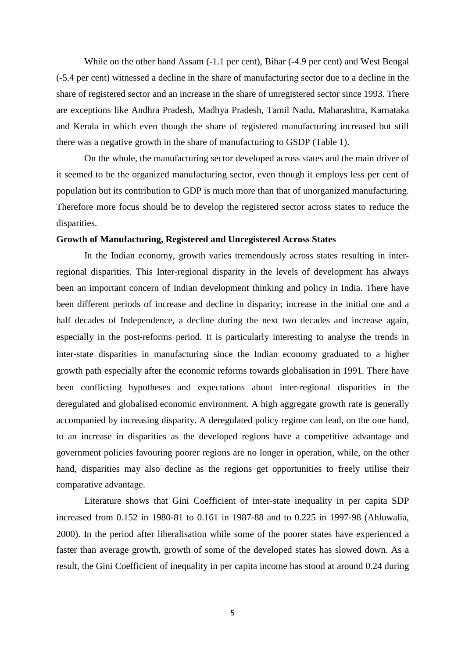While on the other hand Assam (-1.1 per cent), Bihar (-4.9 per cent) and West Bengal (-5.4 per cent) witnessed a decline in the share of manufacturing sector due to a decline in the share of registered sector and an increase in the share of unregistered sector since 1993. There are exceptions like Andhra Pradesh, Madhya Pradesh, Tamil Nadu, Maharashtra, Karnataka and Kerala in which even though the share of registered manufacturing increased but still there was a negative growth in the share of manufacturing to GSDP (Table 1).

On the whole, the manufacturing sector developed across states and the main driver of it seemed to be the organized manufacturing sector, even though it employs less per cent of population but its contribution to GDP is much more than that of unorganized manufacturing. Therefore more focus should be to develop the registered sector across states to reduce the disparities.

#### **Growth of Manufacturing, Registered and Unregistered Across States**

In the Indian economy, growth varies tremendously across states resulting in interregional disparities. This Inter‐regional disparity in the levels of development has always been an important concern of Indian development thinking and policy in India. There have been different periods of increase and decline in disparity; increase in the initial one and a half decades of Independence, a decline during the next two decades and increase again, especially in the post-reforms period. It is particularly interesting to analyse the trends in inter-state disparities in manufacturing since the Indian economy graduated to a higher growth path especially after the economic reforms towards globalisation in 1991. There have been conflicting hypotheses and expectations about inter-regional disparities in the deregulated and globalised economic environment. A high aggregate growth rate is generally accompanied by increasing disparity. A deregulated policy regime can lead, on the one hand, to an increase in disparities as the developed regions have a competitive advantage and government policies favouring poorer regions are no longer in operation, while, on the other hand, disparities may also decline as the regions get opportunities to freely utilise their comparative advantage.

Literature shows that Gini Coefficient of inter‐state inequality in per capita SDP increased from 0.152 in 1980‐81 to 0.161 in 1987‐88 and to 0.225 in 1997‐98 (Ahluwalia, 2000). In the period after liberalisation while some of the poorer states have experienced a faster than average growth, growth of some of the developed states has slowed down. As a result, the Gini Coefficient of inequality in per capita income has stood at around 0.24 during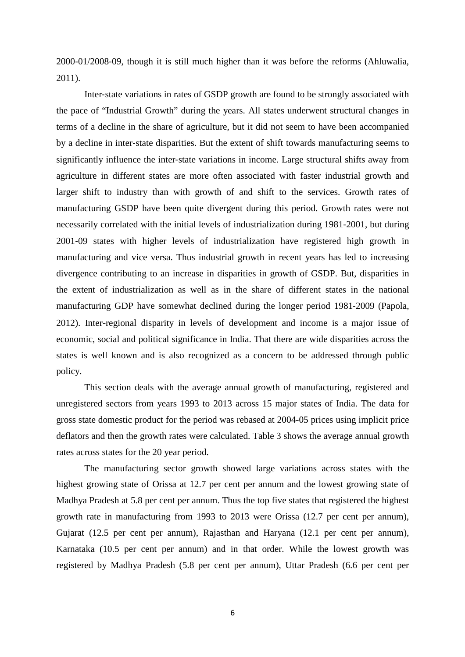2000‐01/2008‐09, though it is still much higher than it was before the reforms (Ahluwalia, 2011).

Inter-state variations in rates of GSDP growth are found to be strongly associated with the pace of "Industrial Growth" during the years. All states underwent structural changes in terms of a decline in the share of agriculture, but it did not seem to have been accompanied by a decline in inter‐state disparities. But the extent of shift towards manufacturing seems to significantly influence the inter‐state variations in income. Large structural shifts away from agriculture in different states are more often associated with faster industrial growth and larger shift to industry than with growth of and shift to the services. Growth rates of manufacturing GSDP have been quite divergent during this period. Growth rates were not necessarily correlated with the initial levels of industrialization during 1981‐2001, but during 2001‐09 states with higher levels of industrialization have registered high growth in manufacturing and vice versa. Thus industrial growth in recent years has led to increasing divergence contributing to an increase in disparities in growth of GSDP. But, disparities in the extent of industrialization as well as in the share of different states in the national manufacturing GDP have somewhat declined during the longer period 1981‐2009 (Papola, 2012). Inter-regional disparity in levels of development and income is a major issue of economic, social and political significance in India. That there are wide disparities across the states is well known and is also recognized as a concern to be addressed through public policy.

This section deals with the average annual growth of manufacturing, registered and unregistered sectors from years 1993 to 2013 across 15 major states of India. The data for gross state domestic product for the period was rebased at 2004-05 prices using implicit price deflators and then the growth rates were calculated. Table 3 shows the average annual growth rates across states for the 20 year period.

The manufacturing sector growth showed large variations across states with the highest growing state of Orissa at 12.7 per cent per annum and the lowest growing state of Madhya Pradesh at 5.8 per cent per annum. Thus the top five states that registered the highest growth rate in manufacturing from 1993 to 2013 were Orissa (12.7 per cent per annum), Gujarat (12.5 per cent per annum), Rajasthan and Haryana (12.1 per cent per annum), Karnataka (10.5 per cent per annum) and in that order. While the lowest growth was registered by Madhya Pradesh (5.8 per cent per annum), Uttar Pradesh (6.6 per cent per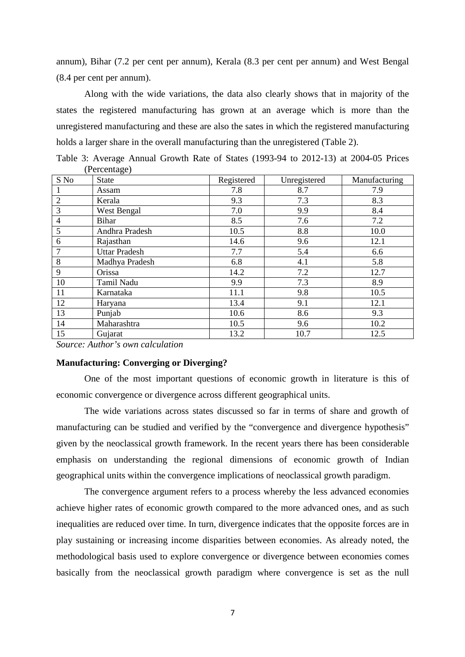annum), Bihar (7.2 per cent per annum), Kerala (8.3 per cent per annum) and West Bengal (8.4 per cent per annum).

Along with the wide variations, the data also clearly shows that in majority of the states the registered manufacturing has grown at an average which is more than the unregistered manufacturing and these are also the sates in which the registered manufacturing holds a larger share in the overall manufacturing than the unregistered (Table 2).

Table 3: Average Annual Growth Rate of States (1993-94 to 2012-13) at 2004-05 Prices (Percentage)

| S No           | <b>State</b>         | Registered | Unregistered | Manufacturing |
|----------------|----------------------|------------|--------------|---------------|
| $\mathbf{1}$   | Assam                | 7.8        | 8.7          | 7.9           |
| $\overline{2}$ | Kerala               | 9.3        | 7.3          | 8.3           |
| 3              | West Bengal          | 7.0        | 9.9          | 8.4           |
| $\overline{4}$ | <b>Bihar</b>         | 8.5        | 7.6          | 7.2           |
| 5              | Andhra Pradesh       | 10.5       | 8.8          | 10.0          |
| 6              | Rajasthan            | 14.6       | 9.6          | 12.1          |
| 7              | <b>Uttar Pradesh</b> | 7.7        | 5.4          | 6.6           |
| 8              | Madhya Pradesh       | 6.8        | 4.1          | 5.8           |
| 9              | Orissa               | 14.2       | 7.2          | 12.7          |
| 10             | Tamil Nadu           | 9.9        | 7.3          | 8.9           |
| 11             | Karnataka            | 11.1       | 9.8          | 10.5          |
| 12             | Haryana              | 13.4       | 9.1          | 12.1          |
| 13             | Punjab               | 10.6       | 8.6          | 9.3           |
| 14             | Maharashtra          | 10.5       | 9.6          | 10.2          |
| 15             | Gujarat              | 13.2       | 10.7         | 12.5          |

*Source: Author's own calculation* 

## **Manufacturing: Converging or Diverging?**

One of the most important questions of economic growth in literature is this of economic convergence or divergence across different geographical units.

The wide variations across states discussed so far in terms of share and growth of manufacturing can be studied and verified by the "convergence and divergence hypothesis" given by the neoclassical growth framework. In the recent years there has been considerable emphasis on understanding the regional dimensions of economic growth of Indian geographical units within the convergence implications of neoclassical growth paradigm.

The convergence argument refers to a process whereby the less advanced economies achieve higher rates of economic growth compared to the more advanced ones, and as such inequalities are reduced over time. In turn, divergence indicates that the opposite forces are in play sustaining or increasing income disparities between economies. As already noted, the methodological basis used to explore convergence or divergence between economies comes basically from the neoclassical growth paradigm where convergence is set as the null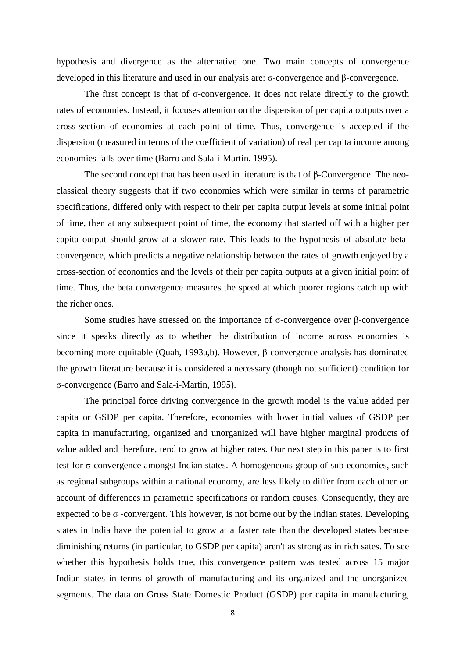hypothesis and divergence as the alternative one. Two main concepts of convergence developed in this literature and used in our analysis are: σ-convergence and β-convergence.

The first concept is that of  $\sigma$ -convergence. It does not relate directly to the growth rates of economies. Instead, it focuses attention on the dispersion of per capita outputs over a cross-section of economies at each point of time. Thus, convergence is accepted if the dispersion (measured in terms of the coefficient of variation) of real per capita income among economies falls over time (Barro and Sala-i-Martin, 1995).

The second concept that has been used in literature is that of β-Convergence. The neoclassical theory suggests that if two economies which were similar in terms of parametric specifications, differed only with respect to their per capita output levels at some initial point of time, then at any subsequent point of time, the economy that started off with a higher per capita output should grow at a slower rate. This leads to the hypothesis of absolute betaconvergence, which predicts a negative relationship between the rates of growth enjoyed by a cross-section of economies and the levels of their per capita outputs at a given initial point of time. Thus, the beta convergence measures the speed at which poorer regions catch up with the richer ones.

Some studies have stressed on the importance of σ-convergence over β-convergence since it speaks directly as to whether the distribution of income across economies is becoming more equitable (Quah, 1993a,b). However, β-convergence analysis has dominated the growth literature because it is considered a necessary (though not sufficient) condition for σ-convergence (Barro and Sala-i-Martin, 1995).

The principal force driving convergence in the growth model is the value added per capita or GSDP per capita. Therefore, economies with lower initial values of GSDP per capita in manufacturing, organized and unorganized will have higher marginal products of value added and therefore, tend to grow at higher rates. Our next step in this paper is to first test for σ-convergence amongst Indian states. A homogeneous group of sub-economies, such as regional subgroups within a national economy, are less likely to differ from each other on account of differences in parametric specifications or random causes. Consequently, they are expected to be  $\sigma$  -convergent. This however, is not borne out by the Indian states. Developing states in India have the potential to grow at a faster rate than the developed states because diminishing returns (in particular, to GSDP per capita) aren't as strong as in rich sates. To see whether this hypothesis holds true, this convergence pattern was tested across 15 major Indian states in terms of growth of manufacturing and its organized and the unorganized segments. The data on Gross State Domestic Product (GSDP) per capita in manufacturing,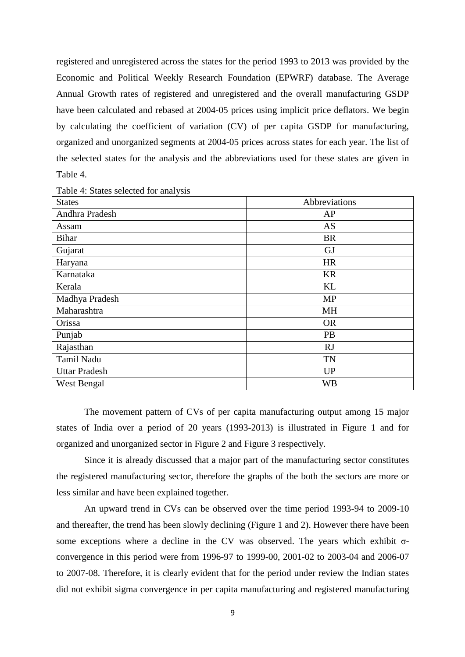registered and unregistered across the states for the period 1993 to 2013 was provided by the Economic and Political Weekly Research Foundation (EPWRF) database. The Average Annual Growth rates of registered and unregistered and the overall manufacturing GSDP have been calculated and rebased at 2004-05 prices using implicit price deflators. We begin by calculating the coefficient of variation (CV) of per capita GSDP for manufacturing, organized and unorganized segments at 2004-05 prices across states for each year. The list of the selected states for the analysis and the abbreviations used for these states are given in Table 4.

| <b>States</b>        | Abbreviations |
|----------------------|---------------|
| Andhra Pradesh       | AP            |
| Assam                | AS            |
| <b>Bihar</b>         | <b>BR</b>     |
| Gujarat              | <b>GJ</b>     |
| Haryana              | <b>HR</b>     |
| Karnataka            | <b>KR</b>     |
| Kerala               | KL            |
| Madhya Pradesh       | <b>MP</b>     |
| Maharashtra          | <b>MH</b>     |
| Orissa               | <b>OR</b>     |
| Punjab               | PB            |
| Rajasthan            | <b>RJ</b>     |
| Tamil Nadu           | <b>TN</b>     |
| <b>Uttar Pradesh</b> | <b>UP</b>     |
| West Bengal          | <b>WB</b>     |

The movement pattern of CVs of per capita manufacturing output among 15 major states of India over a period of 20 years (1993-2013) is illustrated in Figure 1 and for organized and unorganized sector in Figure 2 and Figure 3 respectively.

Since it is already discussed that a major part of the manufacturing sector constitutes the registered manufacturing sector, therefore the graphs of the both the sectors are more or less similar and have been explained together.

An upward trend in CVs can be observed over the time period 1993-94 to 2009-10 and thereafter, the trend has been slowly declining (Figure 1 and 2). However there have been some exceptions where a decline in the CV was observed. The years which exhibit  $\sigma$ convergence in this period were from 1996-97 to 1999-00, 2001-02 to 2003-04 and 2006-07 to 2007-08. Therefore, it is clearly evident that for the period under review the Indian states did not exhibit sigma convergence in per capita manufacturing and registered manufacturing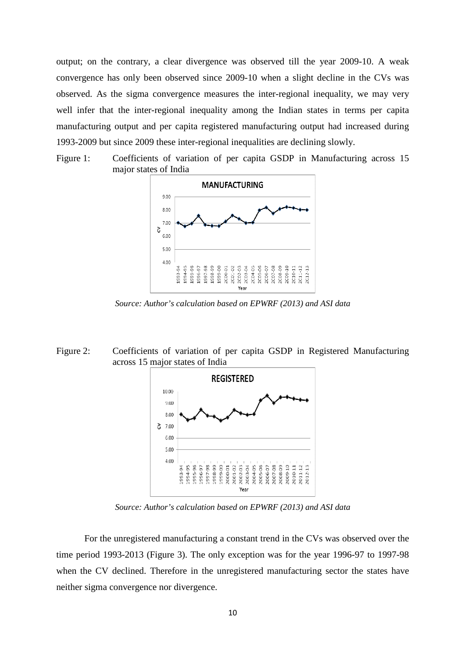output; on the contrary, a clear divergence was observed till the year 2009-10. A weak convergence has only been observed since 2009-10 when a slight decline in the CVs was observed. As the sigma convergence measures the inter-regional inequality, we may very well infer that the inter-regional inequality among the Indian states in terms per capita manufacturing output and per capita registered manufacturing output had increased during 1993-2009 but since 2009 these inter-regional inequalities are declining slowly.





*Source: Author's calculation based on EPWRF (2013) and ASI data*

Figure 2: Coefficients of variation of per capita GSDP in Registered Manufacturing across 15 major states of India



*Source: Author's calculation based on EPWRF (2013) and ASI data*

For the unregistered manufacturing a constant trend in the CVs was observed over the time period 1993-2013 (Figure 3). The only exception was for the year 1996-97 to 1997-98 when the CV declined. Therefore in the unregistered manufacturing sector the states have neither sigma convergence nor divergence.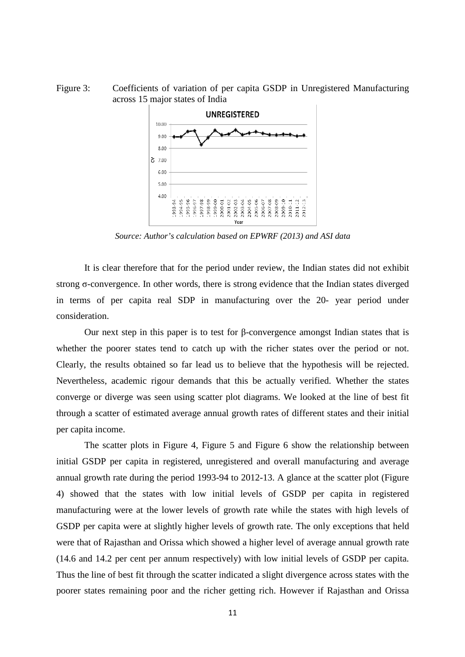Figure 3: Coefficients of variation of per capita GSDP in Unregistered Manufacturing across 15 major states of India



*Source: Author's calculation based on EPWRF (2013) and ASI data*

It is clear therefore that for the period under review, the Indian states did not exhibit strong  $\sigma$ -convergence. In other words, there is strong evidence that the Indian states diverged in terms of per capita real SDP in manufacturing over the 20- year period under consideration.

Our next step in this paper is to test for β-convergence amongst Indian states that is whether the poorer states tend to catch up with the richer states over the period or not. Clearly, the results obtained so far lead us to believe that the hypothesis will be rejected. Nevertheless, academic rigour demands that this be actually verified. Whether the states converge or diverge was seen using scatter plot diagrams. We looked at the line of best fit through a scatter of estimated average annual growth rates of different states and their initial per capita income.

The scatter plots in Figure 4, Figure 5 and Figure 6 show the relationship between initial GSDP per capita in registered, unregistered and overall manufacturing and average annual growth rate during the period 1993-94 to 2012-13. A glance at the scatter plot (Figure 4) showed that the states with low initial levels of GSDP per capita in registered manufacturing were at the lower levels of growth rate while the states with high levels of GSDP per capita were at slightly higher levels of growth rate. The only exceptions that held were that of Rajasthan and Orissa which showed a higher level of average annual growth rate (14.6 and 14.2 per cent per annum respectively) with low initial levels of GSDP per capita. Thus the line of best fit through the scatter indicated a slight divergence across states with the poorer states remaining poor and the richer getting rich. However if Rajasthan and Orissa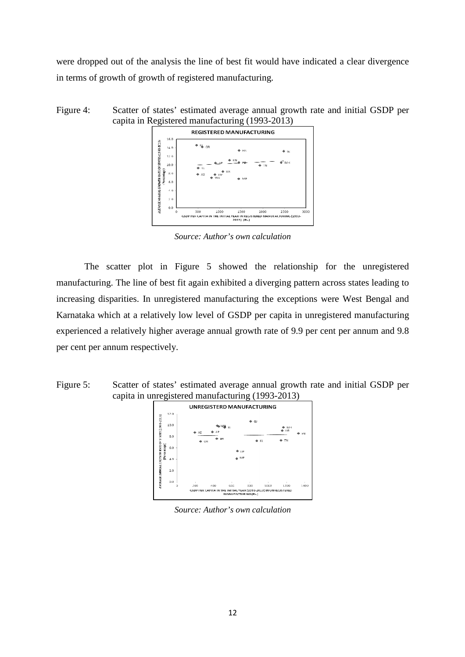were dropped out of the analysis the line of best fit would have indicated a clear divergence in terms of growth of growth of registered manufacturing.

Figure 4: Scatter of states' estimated average annual growth rate and initial GSDP per capita in Registered manufacturing (1993-2013)



*Source: Author's own calculation* 

The scatter plot in Figure 5 showed the relationship for the unregistered manufacturing. The line of best fit again exhibited a diverging pattern across states leading to increasing disparities. In unregistered manufacturing the exceptions were West Bengal and Karnataka which at a relatively low level of GSDP per capita in unregistered manufacturing experienced a relatively higher average annual growth rate of 9.9 per cent per annum and 9.8 per cent per annum respectively.

Figure 5: Scatter of states' estimated average annual growth rate and initial GSDP per capita in unregistered manufacturing (1993-2013)



*Source: Author's own calculation*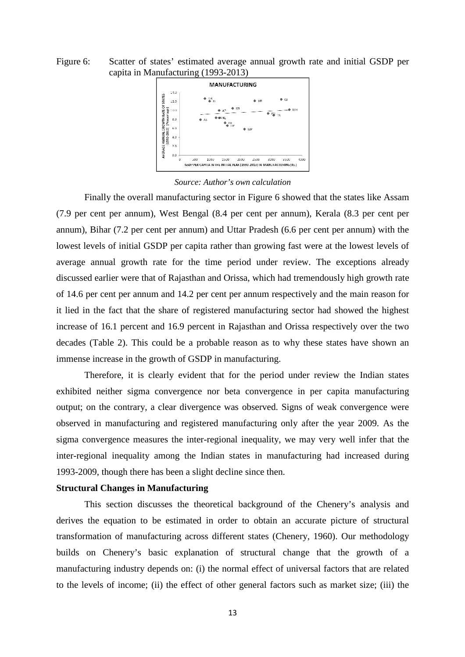Figure 6: Scatter of states' estimated average annual growth rate and initial GSDP per capita in Manufacturing (1993-2013)



*Source: Author's own calculation* 

Finally the overall manufacturing sector in Figure 6 showed that the states like Assam (7.9 per cent per annum), West Bengal (8.4 per cent per annum), Kerala (8.3 per cent per annum), Bihar (7.2 per cent per annum) and Uttar Pradesh (6.6 per cent per annum) with the lowest levels of initial GSDP per capita rather than growing fast were at the lowest levels of average annual growth rate for the time period under review. The exceptions already discussed earlier were that of Rajasthan and Orissa, which had tremendously high growth rate of 14.6 per cent per annum and 14.2 per cent per annum respectively and the main reason for it lied in the fact that the share of registered manufacturing sector had showed the highest increase of 16.1 percent and 16.9 percent in Rajasthan and Orissa respectively over the two decades (Table 2). This could be a probable reason as to why these states have shown an immense increase in the growth of GSDP in manufacturing.

Therefore, it is clearly evident that for the period under review the Indian states exhibited neither sigma convergence nor beta convergence in per capita manufacturing output; on the contrary, a clear divergence was observed. Signs of weak convergence were observed in manufacturing and registered manufacturing only after the year 2009. As the sigma convergence measures the inter-regional inequality, we may very well infer that the inter-regional inequality among the Indian states in manufacturing had increased during 1993-2009, though there has been a slight decline since then.

#### **Structural Changes in Manufacturing**

This section discusses the theoretical background of the Chenery's analysis and derives the equation to be estimated in order to obtain an accurate picture of structural transformation of manufacturing across different states (Chenery, 1960). Our methodology builds on Chenery's basic explanation of structural change that the growth of a manufacturing industry depends on: (i) the normal effect of universal factors that are related to the levels of income; (ii) the effect of other general factors such as market size; (iii) the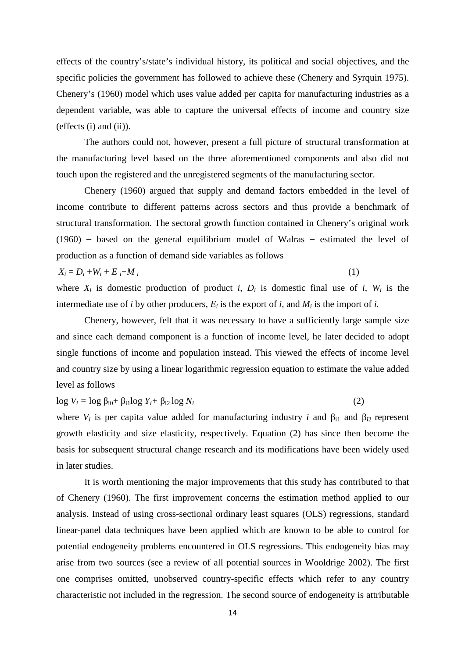effects of the country's/state's individual history, its political and social objectives, and the specific policies the government has followed to achieve these (Chenery and Syrquin 1975). Chenery's (1960) model which uses value added per capita for manufacturing industries as a dependent variable, was able to capture the universal effects of income and country size (effects (i) and (ii)).

The authors could not, however, present a full picture of structural transformation at the manufacturing level based on the three aforementioned components and also did not touch upon the registered and the unregistered segments of the manufacturing sector.

Chenery (1960) argued that supply and demand factors embedded in the level of income contribute to different patterns across sectors and thus provide a benchmark of structural transformation. The sectoral growth function contained in Chenery's original work  $(1960)$  – based on the general equilibrium model of Walras – estimated the level of production as a function of demand side variables as follows

$$
X_i = D_i + W_i + E_i - M_i \tag{1}
$$

where  $X_i$  is domestic production of product *i*,  $D_i$  is domestic final use of *i*,  $W_i$  is the intermediate use of *i* by other producers,  $E_i$  is the export of *i*, and  $M_i$  is the import of *i*.

Chenery, however, felt that it was necessary to have a sufficiently large sample size and since each demand component is a function of income level, he later decided to adopt single functions of income and population instead. This viewed the effects of income level and country size by using a linear logarithmic regression equation to estimate the value added level as follows

$$
\log V_i = \log \beta_{i0} + \beta_{i1} \log Y_i + \beta_{i2} \log N_i \tag{2}
$$

where  $V_i$  is per capita value added for manufacturing industry *i* and  $\beta_{i1}$  and  $\beta_{i2}$  represent growth elasticity and size elasticity, respectively. Equation (2) has since then become the basis for subsequent structural change research and its modifications have been widely used in later studies.

It is worth mentioning the major improvements that this study has contributed to that of Chenery (1960). The first improvement concerns the estimation method applied to our analysis. Instead of using cross-sectional ordinary least squares (OLS) regressions, standard linear-panel data techniques have been applied which are known to be able to control for potential endogeneity problems encountered in OLS regressions. This endogeneity bias may arise from two sources (see a review of all potential sources in Wooldrige 2002). The first one comprises omitted, unobserved country-specific effects which refer to any country characteristic not included in the regression. The second source of endogeneity is attributable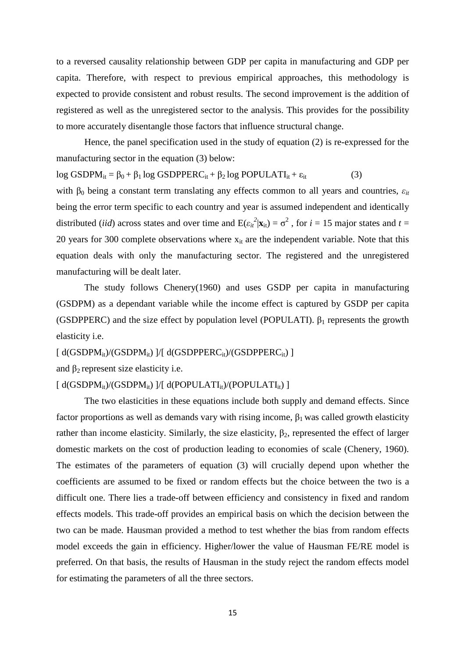to a reversed causality relationship between GDP per capita in manufacturing and GDP per capita. Therefore, with respect to previous empirical approaches, this methodology is expected to provide consistent and robust results. The second improvement is the addition of registered as well as the unregistered sector to the analysis. This provides for the possibility to more accurately disentangle those factors that influence structural change.

Hence, the panel specification used in the study of equation (2) is re-expressed for the manufacturing sector in the equation (3) below:

log GSDPM<sub>it</sub> = β<sub>0</sub> + β<sub>1</sub> log GSDPPERC<sub>it</sub> + β<sub>2</sub> log POPULATI<sub>it</sub> + ε<sub>it</sub> (3)

with β<sub>0</sub> being a constant term translating any effects common to all years and countries,  $ε$ <sub>*it*</sub> being the error term specific to each country and year is assumed independent and identically distributed (*iid*) across states and over time and  $E(\epsilon_{it}^2|\mathbf{x}_{it}) = \sigma^2$ , for *i* = 15 major states and *t* = 20 years for 300 complete observations where  $x_{it}$  are the independent variable. Note that this equation deals with only the manufacturing sector. The registered and the unregistered manufacturing will be dealt later.

The study follows Chenery(1960) and uses GSDP per capita in manufacturing (GSDPM) as a dependant variable while the income effect is captured by GSDP per capita (GSDPPERC) and the size effect by population level (POPULATI).  $\beta_1$  represents the growth elasticity i.e.

 $[d(GSDPM_{it})/(GSDPM_{it})]/[d(GSDPPERC_{it})/(GSDPPERC_{it})]$ 

and  $\beta_2$  represent size elasticity i.e.

## $\lceil d(GSDPM_{it})/(GSDPM_{it}) \rceil / \lceil d(POPULATI_{it})/ (POPULATI_{it}) \rceil$

The two elasticities in these equations include both supply and demand effects. Since factor proportions as well as demands vary with rising income,  $\beta_1$  was called growth elasticity rather than income elasticity. Similarly, the size elasticity,  $\beta_2$ , represented the effect of larger domestic markets on the cost of production leading to economies of scale (Chenery, 1960). The estimates of the parameters of equation (3) will crucially depend upon whether the coefficients are assumed to be fixed or random effects but the choice between the two is a difficult one. There lies a trade-off between efficiency and consistency in fixed and random effects models. This trade-off provides an empirical basis on which the decision between the two can be made. Hausman provided a method to test whether the bias from random effects model exceeds the gain in efficiency. Higher/lower the value of Hausman FE/RE model is preferred. On that basis, the results of Hausman in the study reject the random effects model for estimating the parameters of all the three sectors.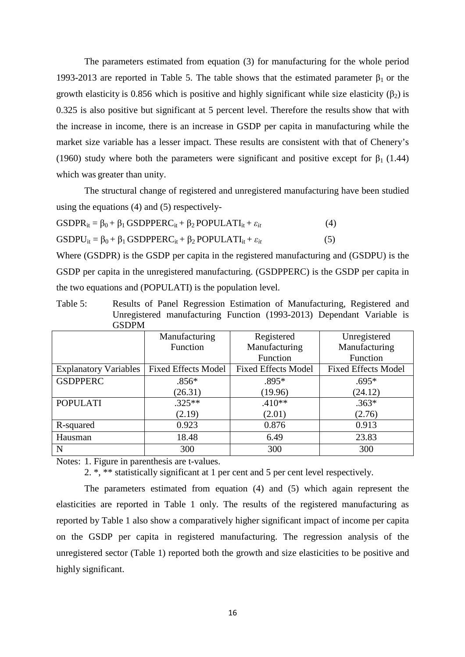The parameters estimated from equation (3) for manufacturing for the whole period 1993-2013 are reported in Table 5. The table shows that the estimated parameter  $β_1$  or the growth elasticity is 0.856 which is positive and highly significant while size elasticity  $(\beta_2)$  is 0.325 is also positive but significant at 5 percent level. Therefore the results show that with the increase in income, there is an increase in GSDP per capita in manufacturing while the market size variable has a lesser impact. These results are consistent with that of Chenery's (1960) study where both the parameters were significant and positive except for  $\beta_1$  (1.44) which was greater than unity.

The structural change of registered and unregistered manufacturing have been studied using the equations (4) and (5) respectively-

| GSDPR <sub>it</sub> = $\beta_0$ + $\beta_1$ GSDPPERC <sub>it</sub> + $\beta_2$ POPULATI <sub>it</sub> + $\varepsilon_{it}$ | (4) |
|----------------------------------------------------------------------------------------------------------------------------|-----|
| $GSDPU_{it} = \beta_0 + \beta_1 GSDPPERC_{it} + \beta_2 POPULARI_{it} + \varepsilon_{it}$                                  | (5) |

Where (GSDPR) is the GSDP per capita in the registered manufacturing and (GSDPU) is the GSDP per capita in the unregistered manufacturing. (GSDPPERC) is the GSDP per capita in the two equations and (POPULATI) is the population level.

Table 5: Results of Panel Regression Estimation of Manufacturing, Registered and Unregistered manufacturing Function (1993-2013) Dependant Variable is **GSDPM** 

| <b>000 LIL</b>               |                            |                            |                            |  |  |
|------------------------------|----------------------------|----------------------------|----------------------------|--|--|
|                              | Manufacturing              | Registered                 | Unregistered               |  |  |
|                              | Function                   | Manufacturing              | Manufacturing              |  |  |
|                              |                            | Function                   | Function                   |  |  |
| <b>Explanatory Variables</b> | <b>Fixed Effects Model</b> | <b>Fixed Effects Model</b> | <b>Fixed Effects Model</b> |  |  |
| <b>GSDPPERC</b>              | $.856*$                    | $.895*$                    | $.695*$                    |  |  |
|                              | (26.31)                    | (19.96)                    | (24.12)                    |  |  |
| <b>POPULATI</b>              | $.325**$                   | .410**                     | $.363*$                    |  |  |
|                              | (2.19)                     | (2.01)                     | (2.76)                     |  |  |
| R-squared                    | 0.923                      | 0.876                      | 0.913                      |  |  |
| Hausman                      | 18.48                      | 6.49                       | 23.83                      |  |  |
| N                            | 300                        | 300                        | 300                        |  |  |

Notes: 1. Figure in parenthesis are t-values.

2. \*, \*\* statistically significant at 1 per cent and 5 per cent level respectively.

The parameters estimated from equation (4) and (5) which again represent the elasticities are reported in Table 1 only. The results of the registered manufacturing as reported by Table 1 also show a comparatively higher significant impact of income per capita on the GSDP per capita in registered manufacturing. The regression analysis of the unregistered sector (Table 1) reported both the growth and size elasticities to be positive and highly significant.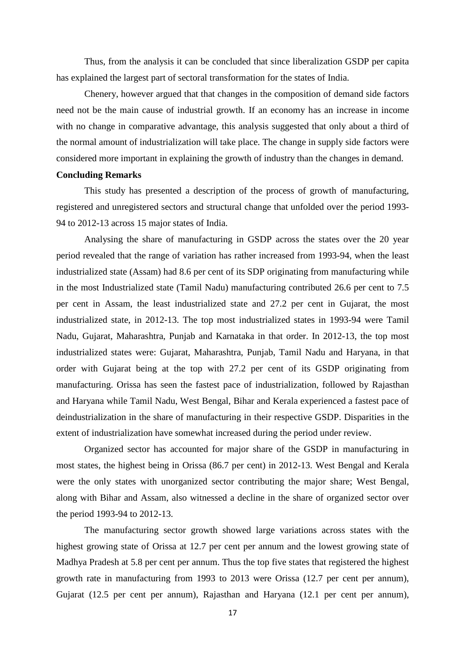Thus, from the analysis it can be concluded that since liberalization GSDP per capita has explained the largest part of sectoral transformation for the states of India.

Chenery, however argued that that changes in the composition of demand side factors need not be the main cause of industrial growth. If an economy has an increase in income with no change in comparative advantage, this analysis suggested that only about a third of the normal amount of industrialization will take place. The change in supply side factors were considered more important in explaining the growth of industry than the changes in demand.

#### **Concluding Remarks**

 This study has presented a description of the process of growth of manufacturing, registered and unregistered sectors and structural change that unfolded over the period 1993- 94 to 2012-13 across 15 major states of India.

 Analysing the share of manufacturing in GSDP across the states over the 20 year period revealed that the range of variation has rather increased from 1993-94, when the least industrialized state (Assam) had 8.6 per cent of its SDP originating from manufacturing while in the most Industrialized state (Tamil Nadu) manufacturing contributed 26.6 per cent to 7.5 per cent in Assam, the least industrialized state and 27.2 per cent in Gujarat, the most industrialized state, in 2012-13. The top most industrialized states in 1993-94 were Tamil Nadu, Gujarat, Maharashtra, Punjab and Karnataka in that order. In 2012-13, the top most industrialized states were: Gujarat, Maharashtra, Punjab, Tamil Nadu and Haryana, in that order with Gujarat being at the top with 27.2 per cent of its GSDP originating from manufacturing. Orissa has seen the fastest pace of industrialization, followed by Rajasthan and Haryana while Tamil Nadu, West Bengal, Bihar and Kerala experienced a fastest pace of deindustrialization in the share of manufacturing in their respective GSDP. Disparities in the extent of industrialization have somewhat increased during the period under review.

Organized sector has accounted for major share of the GSDP in manufacturing in most states, the highest being in Orissa (86.7 per cent) in 2012-13. West Bengal and Kerala were the only states with unorganized sector contributing the major share; West Bengal, along with Bihar and Assam, also witnessed a decline in the share of organized sector over the period 1993-94 to 2012-13.

The manufacturing sector growth showed large variations across states with the highest growing state of Orissa at 12.7 per cent per annum and the lowest growing state of Madhya Pradesh at 5.8 per cent per annum. Thus the top five states that registered the highest growth rate in manufacturing from 1993 to 2013 were Orissa (12.7 per cent per annum), Gujarat (12.5 per cent per annum), Rajasthan and Haryana (12.1 per cent per annum),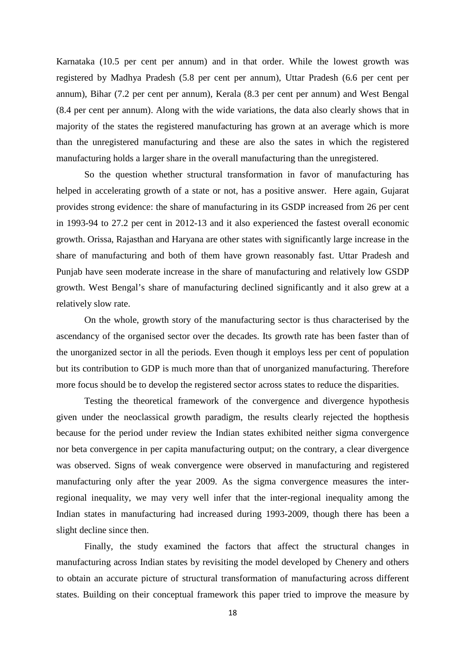Karnataka (10.5 per cent per annum) and in that order. While the lowest growth was registered by Madhya Pradesh (5.8 per cent per annum), Uttar Pradesh (6.6 per cent per annum), Bihar (7.2 per cent per annum), Kerala (8.3 per cent per annum) and West Bengal (8.4 per cent per annum). Along with the wide variations, the data also clearly shows that in majority of the states the registered manufacturing has grown at an average which is more than the unregistered manufacturing and these are also the sates in which the registered manufacturing holds a larger share in the overall manufacturing than the unregistered.

So the question whether structural transformation in favor of manufacturing has helped in accelerating growth of a state or not, has a positive answer. Here again, Gujarat provides strong evidence: the share of manufacturing in its GSDP increased from 26 per cent in 1993-94 to 27.2 per cent in 2012-13 and it also experienced the fastest overall economic growth. Orissa, Rajasthan and Haryana are other states with significantly large increase in the share of manufacturing and both of them have grown reasonably fast. Uttar Pradesh and Punjab have seen moderate increase in the share of manufacturing and relatively low GSDP growth. West Bengal's share of manufacturing declined significantly and it also grew at a relatively slow rate.

On the whole, growth story of the manufacturing sector is thus characterised by the ascendancy of the organised sector over the decades. Its growth rate has been faster than of the unorganized sector in all the periods. Even though it employs less per cent of population but its contribution to GDP is much more than that of unorganized manufacturing. Therefore more focus should be to develop the registered sector across states to reduce the disparities.

Testing the theoretical framework of the convergence and divergence hypothesis given under the neoclassical growth paradigm, the results clearly rejected the hopthesis because for the period under review the Indian states exhibited neither sigma convergence nor beta convergence in per capita manufacturing output; on the contrary, a clear divergence was observed. Signs of weak convergence were observed in manufacturing and registered manufacturing only after the year 2009. As the sigma convergence measures the interregional inequality, we may very well infer that the inter-regional inequality among the Indian states in manufacturing had increased during 1993-2009, though there has been a slight decline since then.

Finally, the study examined the factors that affect the structural changes in manufacturing across Indian states by revisiting the model developed by Chenery and others to obtain an accurate picture of structural transformation of manufacturing across different states. Building on their conceptual framework this paper tried to improve the measure by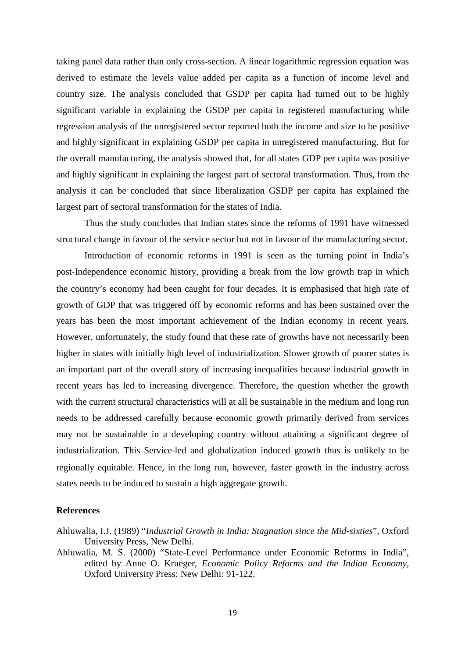taking panel data rather than only cross-section. A linear logarithmic regression equation was derived to estimate the levels value added per capita as a function of income level and country size. The analysis concluded that GSDP per capita had turned out to be highly significant variable in explaining the GSDP per capita in registered manufacturing while regression analysis of the unregistered sector reported both the income and size to be positive and highly significant in explaining GSDP per capita in unregistered manufacturing. But for the overall manufacturing, the analysis showed that, for all states GDP per capita was positive and highly significant in explaining the largest part of sectoral transformation. Thus, from the analysis it can be concluded that since liberalization GSDP per capita has explained the largest part of sectoral transformation for the states of India.

Thus the study concludes that Indian states since the reforms of 1991 have witnessed structural change in favour of the service sector but not in favour of the manufacturing sector.

Introduction of economic reforms in 1991 is seen as the turning point in India's post‐Independence economic history, providing a break from the low growth trap in which the country's economy had been caught for four decades. It is emphasised that high rate of growth of GDP that was triggered off by economic reforms and has been sustained over the years has been the most important achievement of the Indian economy in recent years. However, unfortunately, the study found that these rate of growths have not necessarily been higher in states with initially high level of industrialization. Slower growth of poorer states is an important part of the overall story of increasing inequalities because industrial growth in recent years has led to increasing divergence. Therefore, the question whether the growth with the current structural characteristics will at all be sustainable in the medium and long run needs to be addressed carefully because economic growth primarily derived from services may not be sustainable in a developing country without attaining a significant degree of industrialization. This Service‐led and globalization induced growth thus is unlikely to be regionally equitable. Hence, in the long run, however, faster growth in the industry across states needs to be induced to sustain a high aggregate growth.

### **References**

Ahluwalia, I.J. (1989) "*Industrial Growth in India: Stagnation since the Mid-sixties*", Oxford University Press, New Delhi.

Ahluwalia, M. S. (2000) "State-Level Performance under Economic Reforms in India", edited by Anne O. Krueger, *Economic Policy Reforms and the Indian Economy*, Oxford University Press: New Delhi: 91-122.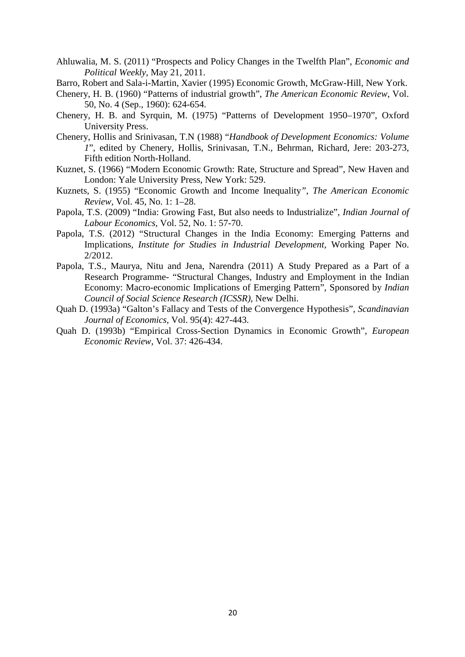- Ahluwalia, M. S. (2011) "Prospects and Policy Changes in the Twelfth Plan", *Economic and Political Weekly*, May 21, 2011.
- Barro, Robert and Sala-i-Martin, Xavier (1995) Economic Growth, McGraw-Hill, New York.
- Chenery, H. B. (1960) "Patterns of industrial growth", *The American Economic Review*, Vol. 50, No. 4 (Sep., 1960): 624-654.
- Chenery, H. B. and Syrquin, M. (1975) "Patterns of Development 1950–1970", Oxford University Press.
- Chenery, Hollis and Srinivasan, T.N (1988) "*Handbook of Development Economics: Volume 1*", edited by Chenery, Hollis, Srinivasan, T.N., Behrman, Richard, Jere: 203-273, Fifth edition North-Holland.
- Kuznet, S. (1966) "Modern Economic Growth: Rate, Structure and Spread", New Haven and London: Yale University Press, New York: 529.
- Kuznets, S. (1955) "Economic Growth and Income Inequality*", The American Economic Review,* Vol. 45, No. 1: 1–28.
- Papola, T.S. (2009) "India: Growing Fast, But also needs to Industrialize", *Indian Journal of Labour Economics,* Vol. 52, No. 1: 57-70.
- Papola, T.S. (2012) "Structural Changes in the India Economy: Emerging Patterns and Implications, *Institute for Studies in Industrial Development,* Working Paper No. 2/2012.
- Papola, T.S., Maurya, Nitu and Jena, Narendra (2011) A Study Prepared as a Part of a Research Programme- "Structural Changes, Industry and Employment in the Indian Economy: Macro-economic Implications of Emerging Pattern", Sponsored by *Indian Council of Social Science Research (ICSSR)*, New Delhi.
- Quah D. (1993a) "Galton's Fallacy and Tests of the Convergence Hypothesis", *Scandinavian Journal of Economics,* Vol. 95(4): 427-443.
- Quah D. (1993b) "Empirical Cross-Section Dynamics in Economic Growth", *European Economic Review,* Vol. 37: 426-434.